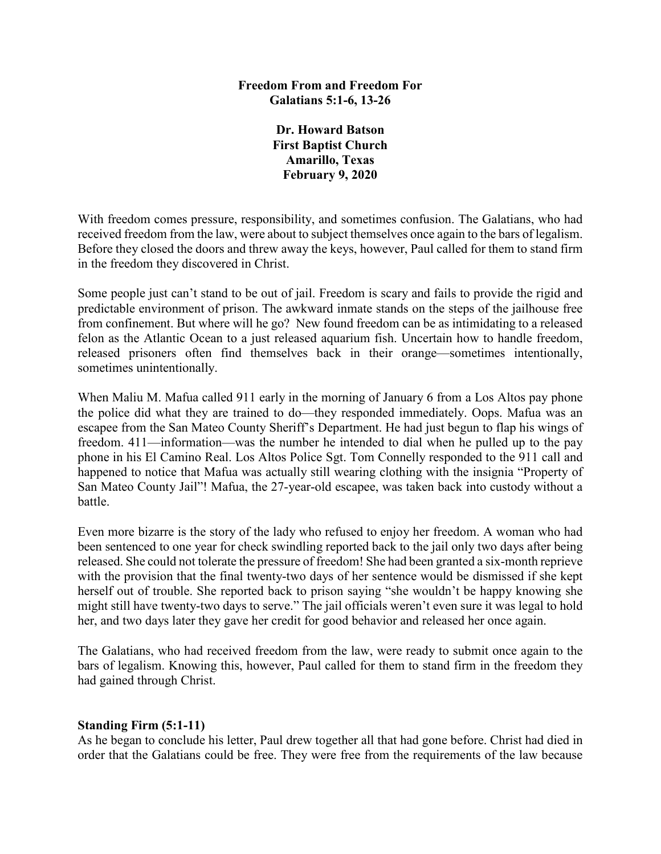## **Freedom From and Freedom For Galatians 5:1-6, 13-26**

**Dr. Howard Batson First Baptist Church Amarillo, Texas February 9, 2020**

With freedom comes pressure, responsibility, and sometimes confusion. The Galatians, who had received freedom from the law, were about to subject themselves once again to the bars of legalism. Before they closed the doors and threw away the keys, however, Paul called for them to stand firm in the freedom they discovered in Christ.

Some people just can't stand to be out of jail. Freedom is scary and fails to provide the rigid and predictable environment of prison. The awkward inmate stands on the steps of the jailhouse free from confinement. But where will he go? New found freedom can be as intimidating to a released felon as the Atlantic Ocean to a just released aquarium fish. Uncertain how to handle freedom, released prisoners often find themselves back in their orange—sometimes intentionally, sometimes unintentionally.

When Maliu M. Mafua called 911 early in the morning of January 6 from a Los Altos pay phone the police did what they are trained to do—they responded immediately. Oops. Mafua was an escapee from the San Mateo County Sheriff's Department. He had just begun to flap his wings of freedom. 411—information—was the number he intended to dial when he pulled up to the pay phone in his El Camino Real. Los Altos Police Sgt. Tom Connelly responded to the 911 call and happened to notice that Mafua was actually still wearing clothing with the insignia "Property of San Mateo County Jail"! Mafua, the 27-year-old escapee, was taken back into custody without a battle.

Even more bizarre is the story of the lady who refused to enjoy her freedom. A woman who had been sentenced to one year for check swindling reported back to the jail only two days after being released. She could not tolerate the pressure of freedom! She had been granted a six-month reprieve with the provision that the final twenty-two days of her sentence would be dismissed if she kept herself out of trouble. She reported back to prison saying "she wouldn't be happy knowing she might still have twenty-two days to serve." The jail officials weren't even sure it was legal to hold her, and two days later they gave her credit for good behavior and released her once again.

The Galatians, who had received freedom from the law, were ready to submit once again to the bars of legalism. Knowing this, however, Paul called for them to stand firm in the freedom they had gained through Christ.

## **Standing Firm (5:1-11)**

As he began to conclude his letter, Paul drew together all that had gone before. Christ had died in order that the Galatians could be free. They were free from the requirements of the law because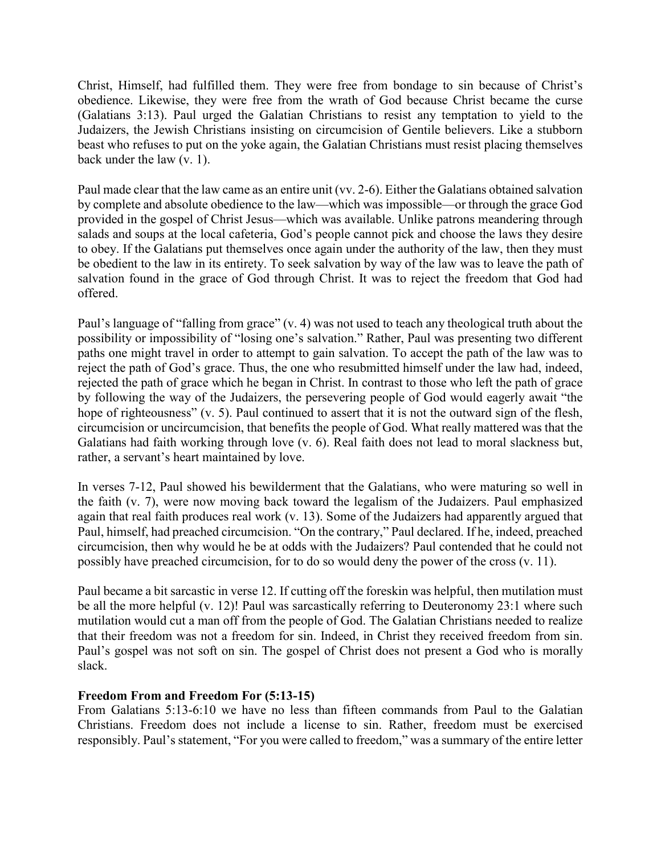Christ, Himself, had fulfilled them. They were free from bondage to sin because of Christ's obedience. Likewise, they were free from the wrath of God because Christ became the curse (Galatians 3:13). Paul urged the Galatian Christians to resist any temptation to yield to the Judaizers, the Jewish Christians insisting on circumcision of Gentile believers. Like a stubborn beast who refuses to put on the yoke again, the Galatian Christians must resist placing themselves back under the law (v. 1).

Paul made clear that the law came as an entire unit (vv. 2-6). Either the Galatians obtained salvation by complete and absolute obedience to the law—which was impossible—or through the grace God provided in the gospel of Christ Jesus—which was available. Unlike patrons meandering through salads and soups at the local cafeteria, God's people cannot pick and choose the laws they desire to obey. If the Galatians put themselves once again under the authority of the law, then they must be obedient to the law in its entirety. To seek salvation by way of the law was to leave the path of salvation found in the grace of God through Christ. It was to reject the freedom that God had offered.

Paul's language of "falling from grace" (v. 4) was not used to teach any theological truth about the possibility or impossibility of "losing one's salvation." Rather, Paul was presenting two different paths one might travel in order to attempt to gain salvation. To accept the path of the law was to reject the path of God's grace. Thus, the one who resubmitted himself under the law had, indeed, rejected the path of grace which he began in Christ. In contrast to those who left the path of grace by following the way of the Judaizers, the persevering people of God would eagerly await "the hope of righteousness" (v. 5). Paul continued to assert that it is not the outward sign of the flesh, circumcision or uncircumcision, that benefits the people of God. What really mattered was that the Galatians had faith working through love (v. 6). Real faith does not lead to moral slackness but, rather, a servant's heart maintained by love.

In verses 7-12, Paul showed his bewilderment that the Galatians, who were maturing so well in the faith (v. 7), were now moving back toward the legalism of the Judaizers. Paul emphasized again that real faith produces real work (v. 13). Some of the Judaizers had apparently argued that Paul, himself, had preached circumcision. "On the contrary," Paul declared. If he, indeed, preached circumcision, then why would he be at odds with the Judaizers? Paul contended that he could not possibly have preached circumcision, for to do so would deny the power of the cross (v. 11).

Paul became a bit sarcastic in verse 12. If cutting off the foreskin was helpful, then mutilation must be all the more helpful (v. 12)! Paul was sarcastically referring to Deuteronomy 23:1 where such mutilation would cut a man off from the people of God. The Galatian Christians needed to realize that their freedom was not a freedom for sin. Indeed, in Christ they received freedom from sin. Paul's gospel was not soft on sin. The gospel of Christ does not present a God who is morally slack.

## **Freedom From and Freedom For (5:13-15)**

From Galatians 5:13-6:10 we have no less than fifteen commands from Paul to the Galatian Christians. Freedom does not include a license to sin. Rather, freedom must be exercised responsibly. Paul's statement, "For you were called to freedom," was a summary of the entire letter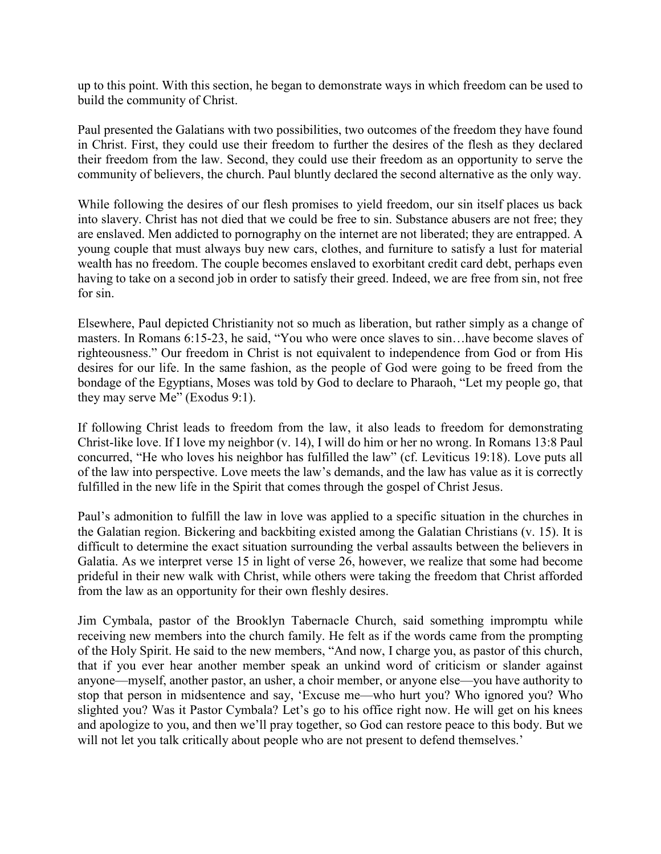up to this point. With this section, he began to demonstrate ways in which freedom can be used to build the community of Christ.

Paul presented the Galatians with two possibilities, two outcomes of the freedom they have found in Christ. First, they could use their freedom to further the desires of the flesh as they declared their freedom from the law. Second, they could use their freedom as an opportunity to serve the community of believers, the church. Paul bluntly declared the second alternative as the only way.

While following the desires of our flesh promises to yield freedom, our sin itself places us back into slavery. Christ has not died that we could be free to sin. Substance abusers are not free; they are enslaved. Men addicted to pornography on the internet are not liberated; they are entrapped. A young couple that must always buy new cars, clothes, and furniture to satisfy a lust for material wealth has no freedom. The couple becomes enslaved to exorbitant credit card debt, perhaps even having to take on a second job in order to satisfy their greed. Indeed, we are free from sin, not free for sin.

Elsewhere, Paul depicted Christianity not so much as liberation, but rather simply as a change of masters. In Romans 6:15-23, he said, "You who were once slaves to sin…have become slaves of righteousness." Our freedom in Christ is not equivalent to independence from God or from His desires for our life. In the same fashion, as the people of God were going to be freed from the bondage of the Egyptians, Moses was told by God to declare to Pharaoh, "Let my people go, that they may serve Me" (Exodus 9:1).

If following Christ leads to freedom from the law, it also leads to freedom for demonstrating Christ-like love. If I love my neighbor (v. 14), I will do him or her no wrong. In Romans 13:8 Paul concurred, "He who loves his neighbor has fulfilled the law" (cf. Leviticus 19:18). Love puts all of the law into perspective. Love meets the law's demands, and the law has value as it is correctly fulfilled in the new life in the Spirit that comes through the gospel of Christ Jesus.

Paul's admonition to fulfill the law in love was applied to a specific situation in the churches in the Galatian region. Bickering and backbiting existed among the Galatian Christians (v. 15). It is difficult to determine the exact situation surrounding the verbal assaults between the believers in Galatia. As we interpret verse 15 in light of verse 26, however, we realize that some had become prideful in their new walk with Christ, while others were taking the freedom that Christ afforded from the law as an opportunity for their own fleshly desires.

Jim Cymbala, pastor of the Brooklyn Tabernacle Church, said something impromptu while receiving new members into the church family. He felt as if the words came from the prompting of the Holy Spirit. He said to the new members, "And now, I charge you, as pastor of this church, that if you ever hear another member speak an unkind word of criticism or slander against anyone—myself, another pastor, an usher, a choir member, or anyone else—you have authority to stop that person in midsentence and say, 'Excuse me—who hurt you? Who ignored you? Who slighted you? Was it Pastor Cymbala? Let's go to his office right now. He will get on his knees and apologize to you, and then we'll pray together, so God can restore peace to this body. But we will not let you talk critically about people who are not present to defend themselves.'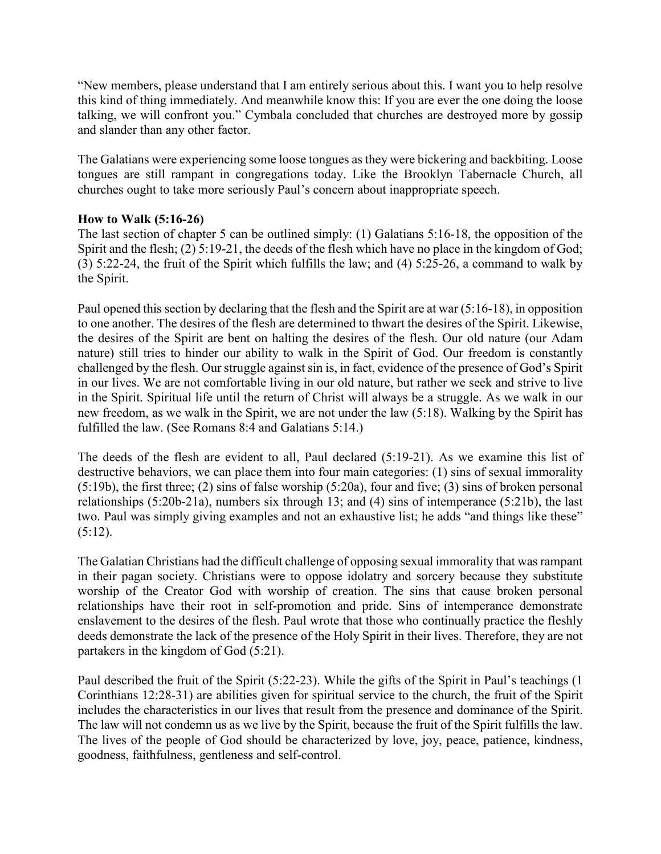"New members, please understand that I am entirely serious about this. I want you to help resolve this kind of thing immediately. And meanwhile know this: If you are ever the one doing the loose talking, we will confront you." Cymbala concluded that churches are destroyed more by gossip and slander than any other factor.

The Galatians were experiencing some loose tongues as they were bickering and backbiting. Loose tongues are still rampant in congregations today. Like the Brooklyn Tabernacle Church, all churches ought to take more seriously Paul's concern about inappropriate speech.

## **How to Walk (5:16-26)**

The last section of chapter 5 can be outlined simply: (1) Galatians 5:16-18, the opposition of the Spirit and the flesh; (2) 5:19-21, the deeds of the flesh which have no place in the kingdom of God; (3) 5:22-24, the fruit of the Spirit which fulfills the law; and (4) 5:25-26, a command to walk by the Spirit.

Paul opened this section by declaring that the flesh and the Spirit are at war (5:16-18), in opposition to one another. The desires of the flesh are determined to thwart the desires of the Spirit. Likewise, the desires of the Spirit are bent on halting the desires of the flesh. Our old nature (our Adam nature) still tries to hinder our ability to walk in the Spirit of God. Our freedom is constantly challenged by the flesh. Our struggle against sin is, in fact, evidence of the presence of God's Spirit in our lives. We are not comfortable living in our old nature, but rather we seek and strive to live in the Spirit. Spiritual life until the return of Christ will always be a struggle. As we walk in our new freedom, as we walk in the Spirit, we are not under the law (5:18). Walking by the Spirit has fulfilled the law. (See Romans 8:4 and Galatians 5:14.)

The deeds of the flesh are evident to all, Paul declared (5:19-21). As we examine this list of destructive behaviors, we can place them into four main categories: (1) sins of sexual immorality (5:19b), the first three; (2) sins of false worship (5:20a), four and five; (3) sins of broken personal relationships (5:20b-21a), numbers six through 13; and (4) sins of intemperance (5:21b), the last two. Paul was simply giving examples and not an exhaustive list; he adds "and things like these"  $(5:12)$ .

The Galatian Christians had the difficult challenge of opposing sexual immorality that was rampant in their pagan society. Christians were to oppose idolatry and sorcery because they substitute worship of the Creator God with worship of creation. The sins that cause broken personal relationships have their root in self-promotion and pride. Sins of intemperance demonstrate enslavement to the desires of the flesh. Paul wrote that those who continually practice the fleshly deeds demonstrate the lack of the presence of the Holy Spirit in their lives. Therefore, they are not partakers in the kingdom of God (5:21).

Paul described the fruit of the Spirit (5:22-23). While the gifts of the Spirit in Paul's teachings (1 Corinthians 12:28-31) are abilities given for spiritual service to the church, the fruit of the Spirit includes the characteristics in our lives that result from the presence and dominance of the Spirit. The law will not condemn us as we live by the Spirit, because the fruit of the Spirit fulfills the law. The lives of the people of God should be characterized by love, joy, peace, patience, kindness, goodness, faithfulness, gentleness and self-control.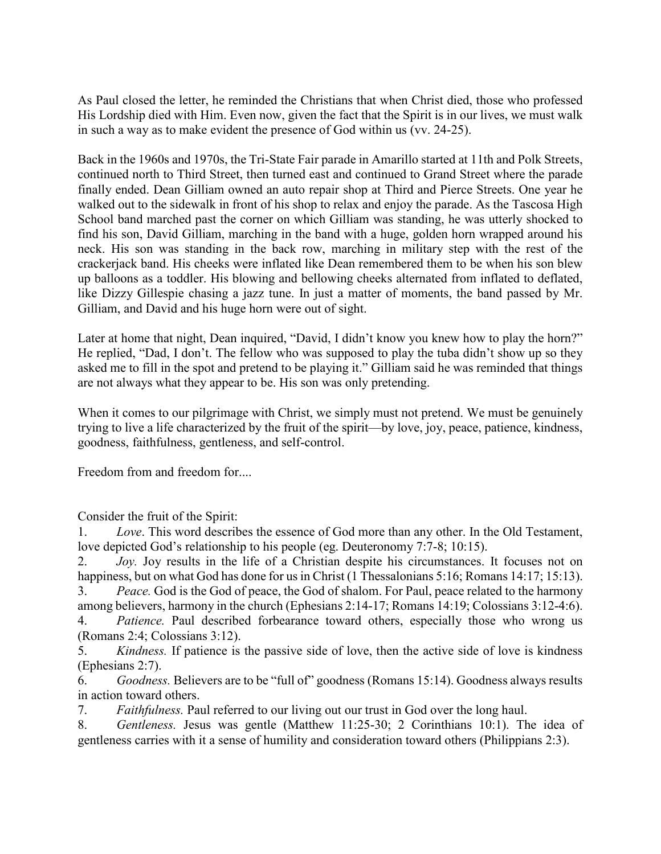As Paul closed the letter, he reminded the Christians that when Christ died, those who professed His Lordship died with Him. Even now, given the fact that the Spirit is in our lives, we must walk in such a way as to make evident the presence of God within us (vv. 24-25).

Back in the 1960s and 1970s, the Tri-State Fair parade in Amarillo started at 11th and Polk Streets, continued north to Third Street, then turned east and continued to Grand Street where the parade finally ended. Dean Gilliam owned an auto repair shop at Third and Pierce Streets. One year he walked out to the sidewalk in front of his shop to relax and enjoy the parade. As the Tascosa High School band marched past the corner on which Gilliam was standing, he was utterly shocked to find his son, David Gilliam, marching in the band with a huge, golden horn wrapped around his neck. His son was standing in the back row, marching in military step with the rest of the crackerjack band. His cheeks were inflated like Dean remembered them to be when his son blew up balloons as a toddler. His blowing and bellowing cheeks alternated from inflated to deflated, like Dizzy Gillespie chasing a jazz tune. In just a matter of moments, the band passed by Mr. Gilliam, and David and his huge horn were out of sight.

Later at home that night, Dean inquired, "David, I didn't know you knew how to play the horn?" He replied, "Dad, I don't. The fellow who was supposed to play the tuba didn't show up so they asked me to fill in the spot and pretend to be playing it." Gilliam said he was reminded that things are not always what they appear to be. His son was only pretending.

When it comes to our pilgrimage with Christ, we simply must not pretend. We must be genuinely trying to live a life characterized by the fruit of the spirit—by love, joy, peace, patience, kindness, goodness, faithfulness, gentleness, and self-control.

Freedom from and freedom for....

Consider the fruit of the Spirit:

1. *Love*. This word describes the essence of God more than any other. In the Old Testament, love depicted God's relationship to his people (eg. Deuteronomy 7:7-8; 10:15).

2. *Joy.* Joy results in the life of a Christian despite his circumstances. It focuses not on happiness, but on what God has done for us in Christ (1 Thessalonians 5:16; Romans 14:17; 15:13).

3. *Peace.* God is the God of peace, the God of shalom. For Paul, peace related to the harmony among believers, harmony in the church (Ephesians 2:14-17; Romans 14:19; Colossians 3:12-4:6). 4. *Patience.* Paul described forbearance toward others, especially those who wrong us (Romans 2:4; Colossians 3:12).

5. *Kindness.* If patience is the passive side of love, then the active side of love is kindness (Ephesians 2:7).

6. *Goodness.* Believers are to be "full of" goodness (Romans 15:14). Goodness always results in action toward others.

7. *Faithfulness.* Paul referred to our living out our trust in God over the long haul.

8. *Gentleness.* Jesus was gentle (Matthew 11:25-30; 2 Corinthians 10:1). The idea of gentleness carries with it a sense of humility and consideration toward others (Philippians 2:3).